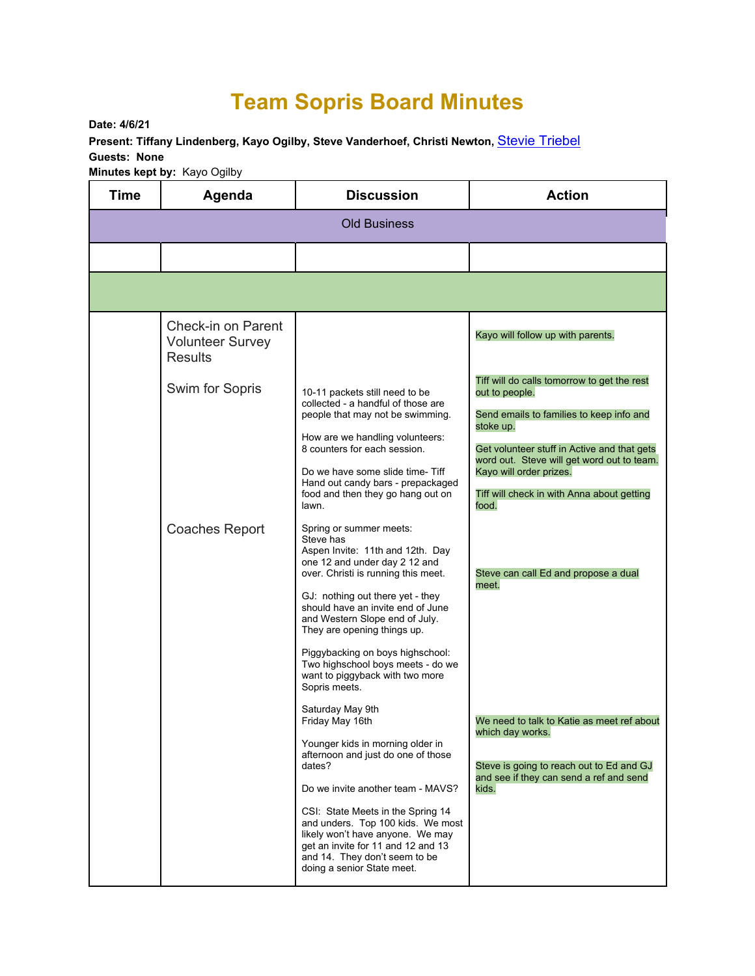## **Team Sopris Board Minutes**

**Date: 4/6/21** 

**Present: Tiffany Lindenberg, Kayo Ogilby, Steve Vanderhoef, Christi Newton,** Stevie Triebel **Guests: None** 

**Minutes kept by:** Kayo Ogilby

| Time                | Agenda                                                          | <b>Discussion</b>                                                                                                                                                                                                                                                                                                                                                                                                                                                                                            | <b>Action</b>                                                                                                                                                                                                                                                                                         |  |  |
|---------------------|-----------------------------------------------------------------|--------------------------------------------------------------------------------------------------------------------------------------------------------------------------------------------------------------------------------------------------------------------------------------------------------------------------------------------------------------------------------------------------------------------------------------------------------------------------------------------------------------|-------------------------------------------------------------------------------------------------------------------------------------------------------------------------------------------------------------------------------------------------------------------------------------------------------|--|--|
| <b>Old Business</b> |                                                                 |                                                                                                                                                                                                                                                                                                                                                                                                                                                                                                              |                                                                                                                                                                                                                                                                                                       |  |  |
|                     |                                                                 |                                                                                                                                                                                                                                                                                                                                                                                                                                                                                                              |                                                                                                                                                                                                                                                                                                       |  |  |
|                     |                                                                 |                                                                                                                                                                                                                                                                                                                                                                                                                                                                                                              |                                                                                                                                                                                                                                                                                                       |  |  |
|                     | Check-in on Parent<br><b>Volunteer Survey</b><br><b>Results</b> |                                                                                                                                                                                                                                                                                                                                                                                                                                                                                                              | Kayo will follow up with parents.                                                                                                                                                                                                                                                                     |  |  |
|                     | Swim for Sopris                                                 | 10-11 packets still need to be<br>collected - a handful of those are<br>people that may not be swimming.<br>How are we handling volunteers:<br>8 counters for each session.<br>Do we have some slide time-Tiff<br>Hand out candy bars - prepackaged<br>food and then they go hang out on<br>lawn.                                                                                                                                                                                                            | Tiff will do calls tomorrow to get the rest<br>out to people.<br>Send emails to families to keep info and<br>stoke up.<br>Get volunteer stuff in Active and that gets<br>word out. Steve will get word out to team.<br>Kayo will order prizes.<br>Tiff will check in with Anna about getting<br>food. |  |  |
|                     | <b>Coaches Report</b>                                           | Spring or summer meets:<br>Steve has<br>Aspen Invite: 11th and 12th. Day<br>one 12 and under day 2 12 and<br>over. Christi is running this meet.<br>GJ: nothing out there yet - they<br>should have an invite end of June<br>and Western Slope end of July.<br>They are opening things up.                                                                                                                                                                                                                   | Steve can call Ed and propose a dual<br>meet.                                                                                                                                                                                                                                                         |  |  |
|                     |                                                                 | Piggybacking on boys highschool:<br>Two highschool boys meets - do we<br>want to piggyback with two more<br>Sopris meets.<br>Saturday May 9th<br>Friday May 16th<br>Younger kids in morning older in<br>afternoon and just do one of those<br>dates?<br>Do we invite another team - MAVS?<br>CSI: State Meets in the Spring 14<br>and unders. Top 100 kids. We most<br>likely won't have anyone. We may<br>get an invite for 11 and 12 and 13<br>and 14. They don't seem to be<br>doing a senior State meet. | We need to talk to Katie as meet ref about<br>which day works.<br>Steve is going to reach out to Ed and GJ<br>and see if they can send a ref and send<br>kids.                                                                                                                                        |  |  |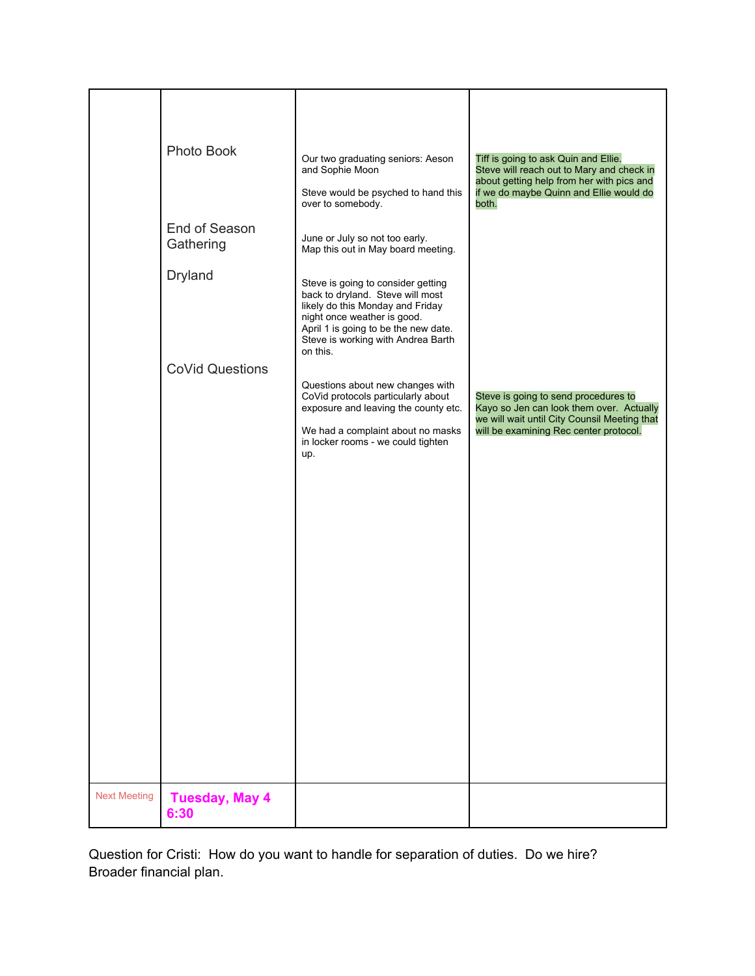|                     | Photo Book                    | Our two graduating seniors: Aeson<br>and Sophie Moon<br>Steve would be psyched to hand this<br>over to somebody.                                                                                                                    | Tiff is going to ask Quin and Ellie.<br>Steve will reach out to Mary and check in<br>about getting help from her with pics and<br>if we do maybe Quinn and Ellie would do<br>both. |
|---------------------|-------------------------------|-------------------------------------------------------------------------------------------------------------------------------------------------------------------------------------------------------------------------------------|------------------------------------------------------------------------------------------------------------------------------------------------------------------------------------|
|                     | End of Season<br>Gathering    | June or July so not too early.<br>Map this out in May board meeting.                                                                                                                                                                |                                                                                                                                                                                    |
|                     | <b>Dryland</b>                | Steve is going to consider getting<br>back to dryland. Steve will most<br>likely do this Monday and Friday<br>night once weather is good.<br>April 1 is going to be the new date.<br>Steve is working with Andrea Barth<br>on this. |                                                                                                                                                                                    |
|                     |                               |                                                                                                                                                                                                                                     |                                                                                                                                                                                    |
|                     | <b>CoVid Questions</b>        | Questions about new changes with<br>CoVid protocols particularly about<br>exposure and leaving the county etc.<br>We had a complaint about no masks<br>in locker rooms - we could tighten<br>up.                                    | Steve is going to send procedures to<br>Kayo so Jen can look them over. Actually<br>we will wait until City Counsil Meeting that<br>will be examining Rec center protocol.         |
|                     |                               |                                                                                                                                                                                                                                     |                                                                                                                                                                                    |
| <b>Next Meeting</b> | <b>Tuesday, May 4</b><br>6:30 |                                                                                                                                                                                                                                     |                                                                                                                                                                                    |

Question for Cristi: How do you want to handle for separation of duties. Do we hire? Broader financial plan.